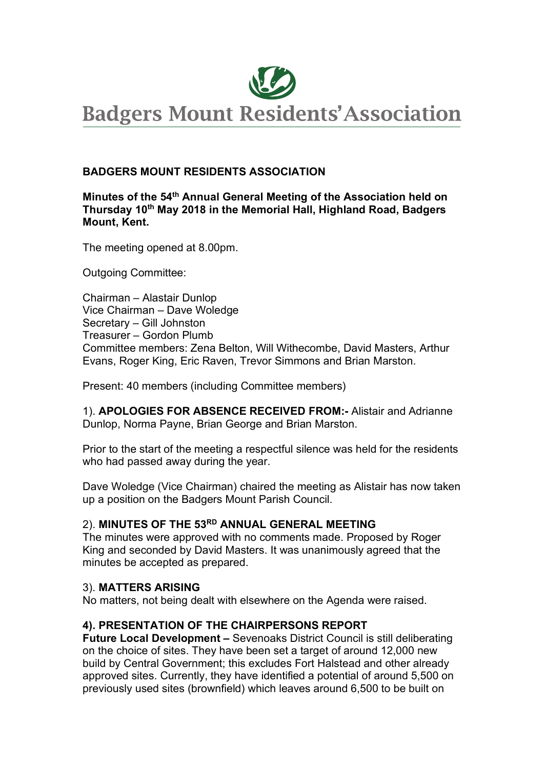

## **BADGERS MOUNT RESIDENTS ASSOCIATION**

#### **Minutes of the 54th Annual General Meeting of the Association held on Thursday 10th May 2018 in the Memorial Hall, Highland Road, Badgers Mount, Kent.**

The meeting opened at 8.00pm.

Outgoing Committee:

Chairman – Alastair Dunlop Vice Chairman – Dave Woledge Secretary – Gill Johnston Treasurer – Gordon Plumb Committee members: Zena Belton, Will Withecombe, David Masters, Arthur Evans, Roger King, Eric Raven, Trevor Simmons and Brian Marston.

Present: 40 members (including Committee members)

1). **APOLOGIES FOR ABSENCE RECEIVED FROM:-** Alistair and Adrianne Dunlop, Norma Payne, Brian George and Brian Marston.

Prior to the start of the meeting a respectful silence was held for the residents who had passed away during the year.

Dave Woledge (Vice Chairman) chaired the meeting as Alistair has now taken up a position on the Badgers Mount Parish Council.

#### 2). **MINUTES OF THE 53RD ANNUAL GENERAL MEETING**

The minutes were approved with no comments made. Proposed by Roger King and seconded by David Masters. It was unanimously agreed that the minutes be accepted as prepared.

#### 3). **MATTERS ARISING**

No matters, not being dealt with elsewhere on the Agenda were raised.

#### **4). PRESENTATION OF THE CHAIRPERSONS REPORT**

**Future Local Development –** Sevenoaks District Council is still deliberating on the choice of sites. They have been set a target of around 12,000 new build by Central Government; this excludes Fort Halstead and other already approved sites. Currently, they have identified a potential of around 5,500 on previously used sites (brownfield) which leaves around 6,500 to be built on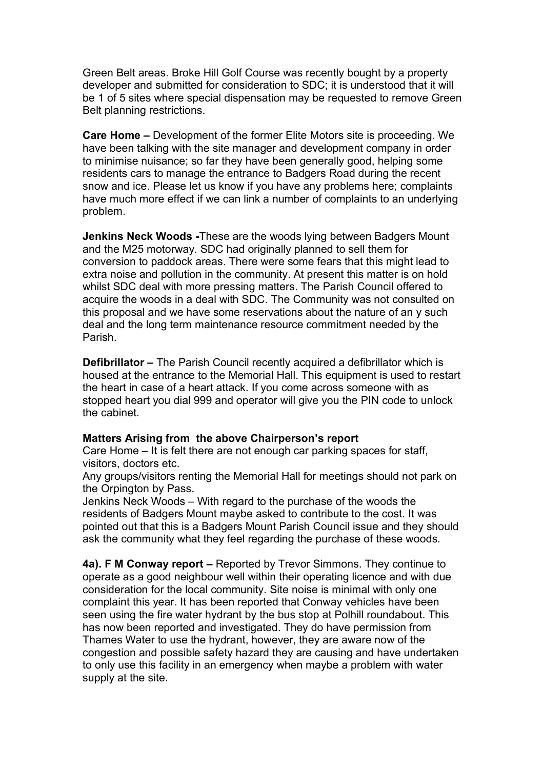Green Belt areas. Broke Hill Golf Course was recently bought by a property developer and submitted for consideration to SDC; it is understood that it will be 1 of 5 sites where special dispensation may be requested to remove Green Belt planning restrictions.

**Care Home –** Development of the former Elite Motors site is proceeding. We have been talking with the site manager and development company in order to minimise nuisance; so far they have been generally good, helping some residents cars to manage the entrance to Badgers Road during the recent snow and ice. Please let us know if you have any problems here; complaints have much more effect if we can link a number of complaints to an underlying problem.

**Jenkins Neck Woods -**These are the woods lying between Badgers Mount and the M25 motorway. SDC had originally planned to sell them for conversion to paddock areas. There were some fears that this might lead to extra noise and pollution in the community. At present this matter is on hold whilst SDC deal with more pressing matters. The Parish Council offered to acquire the woods in a deal with SDC. The Community was not consulted on this proposal and we have some reservations about the nature of an y such deal and the long term maintenance resource commitment needed by the Parish.

**Defibrillator –** The Parish Council recently acquired a defibrillator which is housed at the entrance to the Memorial Hall. This equipment is used to restart the heart in case of a heart attack. If you come across someone with as stopped heart you dial 999 and operator will give you the PIN code to unlock the cabinet.

#### **Matters Arising from the above Chairperson's report**

Care Home – It is felt there are not enough car parking spaces for staff, visitors, doctors etc.

Any groups/visitors renting the Memorial Hall for meetings should not park on the Orpington by Pass.

Jenkins Neck Woods – With regard to the purchase of the woods the residents of Badgers Mount maybe asked to contribute to the cost. It was pointed out that this is a Badgers Mount Parish Council issue and they should ask the community what they feel regarding the purchase of these woods.

**4a). F M Conway report –** Reported by Trevor Simmons. They continue to operate as a good neighbour well within their operating licence and with due consideration for the local community. Site noise is minimal with only one complaint this year. It has been reported that Conway vehicles have been seen using the fire water hydrant by the bus stop at Polhill roundabout. This has now been reported and investigated. They do have permission from Thames Water to use the hydrant, however, they are aware now of the congestion and possible safety hazard they are causing and have undertaken to only use this facility in an emergency when maybe a problem with water supply at the site.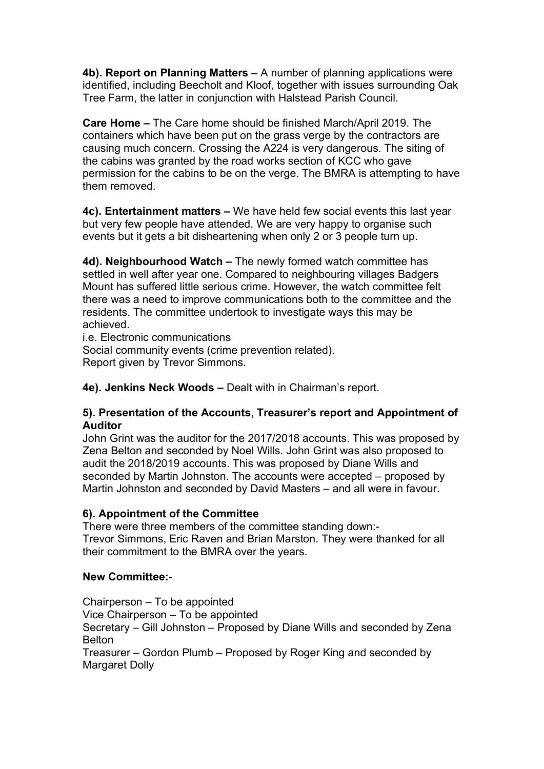**4b). Report on Planning Matters –** A number of planning applications were identified, including Beecholt and Kloof, together with issues surrounding Oak Tree Farm, the latter in conjunction with Halstead Parish Council.

**Care Home –** The Care home should be finished March/April 2019. The containers which have been put on the grass verge by the contractors are causing much concern. Crossing the A224 is very dangerous. The siting of the cabins was granted by the road works section of KCC who gave permission for the cabins to be on the verge. The BMRA is attempting to have them removed.

**4c). Entertainment matters –** We have held few social events this last year but very few people have attended. We are very happy to organise such events but it gets a bit disheartening when only 2 or 3 people turn up.

**4d). Neighbourhood Watch –** The newly formed watch committee has settled in well after year one. Compared to neighbouring villages Badgers Mount has suffered little serious crime. However, the watch committee felt there was a need to improve communications both to the committee and the residents. The committee undertook to investigate ways this may be achieved.

i.e. Electronic communications

Social community events (crime prevention related). Report given by Trevor Simmons.

**4e). Jenkins Neck Woods –** Dealt with in Chairman's report.

#### **5). Presentation of the Accounts, Treasurer's report and Appointment of Auditor**

John Grint was the auditor for the 2017/2018 accounts. This was proposed by Zena Belton and seconded by Noel Wills. John Grint was also proposed to audit the 2018/2019 accounts. This was proposed by Diane Wills and seconded by Martin Johnston. The accounts were accepted – proposed by Martin Johnston and seconded by David Masters – and all were in favour.

#### **6). Appointment of the Committee**

There were three members of the committee standing down:- Trevor Simmons, Eric Raven and Brian Marston. They were thanked for all their commitment to the BMRA over the years.

# **New Committee:-**

Chairperson – To be appointed Vice Chairperson – To be appointed Secretary – Gill Johnston – Proposed by Diane Wills and seconded by Zena Belton Treasurer – Gordon Plumb – Proposed by Roger King and seconded by Margaret Dolly